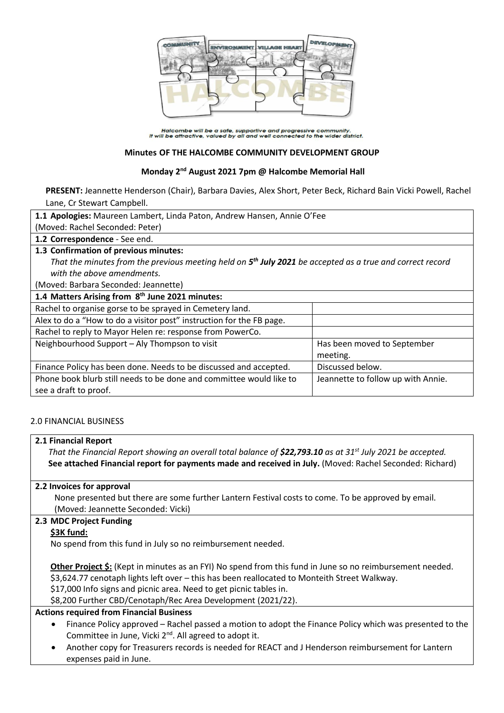

Halcombe will be a safe, supportive and progressive community.<br>It will be attractive, valued by all and well connected to the wider district.

### **Minutes OF THE HALCOMBE COMMUNITY DEVELOPMENT GROUP**

## **Monday 2 nd August 2021 7pm @ Halcombe Memorial Hall**

**PRESENT:** Jeannette Henderson (Chair), Barbara Davies, Alex Short, Peter Beck, Richard Bain Vicki Powell, Rachel Lane, Cr Stewart Campbell.

| 1.1 Apologies: Maureen Lambert, Linda Paton, Andrew Hansen, Annie O'Fee                                     |                                    |
|-------------------------------------------------------------------------------------------------------------|------------------------------------|
| (Moved: Rachel Seconded: Peter)                                                                             |                                    |
| 1.2 Correspondence - See end.                                                                               |                                    |
| 1.3 Confirmation of previous minutes:                                                                       |                                    |
| That the minutes from the previous meeting held on $5th$ July 2021 be accepted as a true and correct record |                                    |
| with the above amendments.                                                                                  |                                    |
| (Moved: Barbara Seconded: Jeannette)                                                                        |                                    |
| 1.4 Matters Arising from 8 <sup>th</sup> June 2021 minutes:                                                 |                                    |
| Rachel to organise gorse to be sprayed in Cemetery land.                                                    |                                    |
| Alex to do a "How to do a visitor post" instruction for the FB page.                                        |                                    |
| Rachel to reply to Mayor Helen re: response from PowerCo.                                                   |                                    |
| Neighbourhood Support - Aly Thompson to visit                                                               | Has been moved to September        |
|                                                                                                             | meeting.                           |
| Finance Policy has been done. Needs to be discussed and accepted.                                           | Discussed below.                   |
| Phone book blurb still needs to be done and committee would like to                                         | Jeannette to follow up with Annie. |
| see a draft to proof.                                                                                       |                                    |

## 2.0 FINANCIAL BUSINESS

**2.1 Financial Report**

*That the Financial Report showing an overall total balance of \$22,793.10 as at 31st July 2021 be accepted.* **See attached Financial report for payments made and received in July.** (Moved: Rachel Seconded: Richard)

#### **2.2 Invoices for approval**

None presented but there are some further Lantern Festival costs to come. To be approved by email. (Moved: Jeannette Seconded: Vicki)

## **2.3 MDC Project Funding**

### **\$3K fund:**

No spend from this fund in July so no reimbursement needed.

**Other Project \$:** (Kept in minutes as an FYI) No spend from this fund in June so no reimbursement needed. \$3,624.77 cenotaph lights left over – this has been reallocated to Monteith Street Walkway. \$17,000 Info signs and picnic area. Need to get picnic tables in. \$8,200 Further CBD/Cenotaph/Rec Area Development (2021/22).

#### **Actions required from Financial Business**

- Finance Policy approved Rachel passed a motion to adopt the Finance Policy which was presented to the Committee in June, Vicki 2<sup>nd</sup>. All agreed to adopt it.
- Another copy for Treasurers records is needed for REACT and J Henderson reimbursement for Lantern expenses paid in June.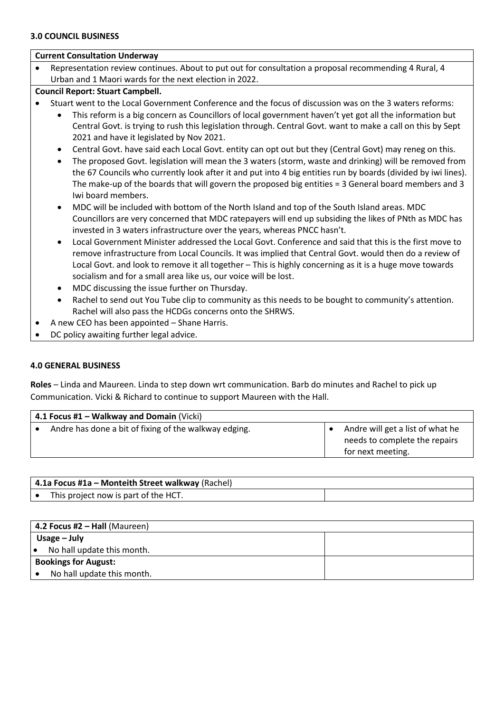#### **Current Consultation Underway**

- Representation review continues. About to put out for consultation a proposal recommending 4 Rural, 4 Urban and 1 Maori wards for the next election in 2022.
- **Council Report: Stuart Campbell.**
- Stuart went to the Local Government Conference and the focus of discussion was on the 3 waters reforms:
	- This reform is a big concern as Councillors of local government haven't yet got all the information but Central Govt. is trying to rush this legislation through. Central Govt. want to make a call on this by Sept 2021 and have it legislated by Nov 2021.
	- Central Govt. have said each Local Govt. entity can opt out but they (Central Govt) may reneg on this.
	- The proposed Govt. legislation will mean the 3 waters (storm, waste and drinking) will be removed from the 67 Councils who currently look after it and put into 4 big entities run by boards (divided by iwi lines). The make-up of the boards that will govern the proposed big entities = 3 General board members and 3 Iwi board members.
	- MDC will be included with bottom of the North Island and top of the South Island areas. MDC Councillors are very concerned that MDC ratepayers will end up subsiding the likes of PNth as MDC has invested in 3 waters infrastructure over the years, whereas PNCC hasn't.
	- Local Government Minister addressed the Local Govt. Conference and said that this is the first move to remove infrastructure from Local Councils. It was implied that Central Govt. would then do a review of Local Govt. and look to remove it all together – This is highly concerning as it is a huge move towards socialism and for a small area like us, our voice will be lost.
	- MDC discussing the issue further on Thursday.
	- Rachel to send out You Tube clip to community as this needs to be bought to community's attention. Rachel will also pass the HCDGs concerns onto the SHRWS.
	- A new CEO has been appointed Shane Harris.
- DC policy awaiting further legal advice.

#### **4.0 GENERAL BUSINESS**

**Roles** – Linda and Maureen. Linda to step down wrt communication. Barb do minutes and Rachel to pick up Communication. Vicki & Richard to continue to support Maureen with the Hall.

| 4.1 Focus #1 - Walkway and Domain (Vicki)             |                                  |
|-------------------------------------------------------|----------------------------------|
| Andre has done a bit of fixing of the walkway edging. | Andre will get a list of what he |
|                                                       | needs to complete the repairs    |
|                                                       | for next meeting.                |

| 4.1a Focus #1a – Monteith Street walkway (Rachel) |  |
|---------------------------------------------------|--|
| This project now is part of the HCT.              |  |

| $4.2$ Focus #2 – Hall (Maureen)         |  |
|-----------------------------------------|--|
| Usage $-$ July                          |  |
| No hall update this month.<br>$\bullet$ |  |
| <b>Bookings for August:</b>             |  |
| No hall update this month.              |  |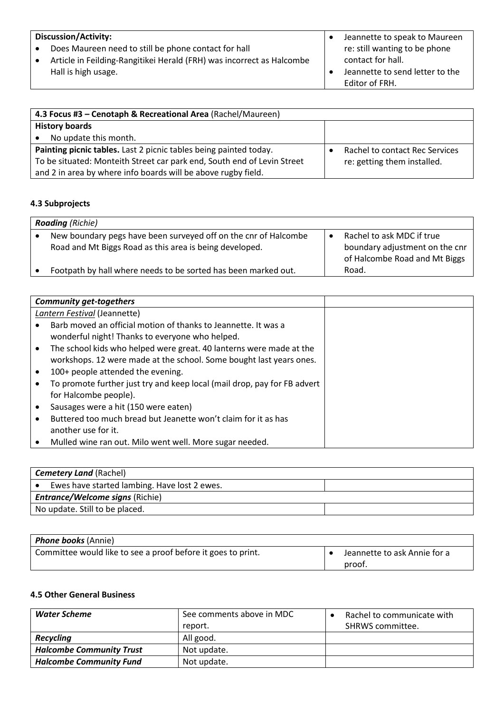| <b>Discussion/Activity:</b>                                           | Jeannette to speak to Maureen   |
|-----------------------------------------------------------------------|---------------------------------|
| Does Maureen need to still be phone contact for hall                  | re: still wanting to be phone   |
| Article in Feilding-Rangitikei Herald (FRH) was incorrect as Halcombe | contact for hall.               |
| Hall is high usage.                                                   | Jeannette to send letter to the |
|                                                                       | Editor of FRH.                  |

| 4.3 Focus #3 - Cenotaph & Recreational Area (Rachel/Maureen)            |                                |
|-------------------------------------------------------------------------|--------------------------------|
| <b>History boards</b>                                                   |                                |
| No update this month.                                                   |                                |
| Painting picnic tables. Last 2 picnic tables being painted today.       | Rachel to contact Rec Services |
| To be situated: Monteith Street car park end, South end of Levin Street | re: getting them installed.    |
| and 2 in area by where info boards will be above rugby field.           |                                |

# **4.3 Subprojects**

| <b>Roading</b> (Richie)                                                                                                    |                                                                                              |
|----------------------------------------------------------------------------------------------------------------------------|----------------------------------------------------------------------------------------------|
| New boundary pegs have been surveyed off on the cnr of Halcombe<br>Road and Mt Biggs Road as this area is being developed. | Rachel to ask MDC if true<br>boundary adjustment on the cnr<br>of Halcombe Road and Mt Biggs |
| Footpath by hall where needs to be sorted has been marked out.                                                             | Road.                                                                                        |

| <b>Community get-togethers</b>                                           |  |
|--------------------------------------------------------------------------|--|
| Lantern Festival (Jeannette)                                             |  |
| Barb moved an official motion of thanks to Jeannette. It was a           |  |
| wonderful night! Thanks to everyone who helped.                          |  |
| The school kids who helped were great. 40 lanterns were made at the      |  |
| workshops. 12 were made at the school. Some bought last years ones.      |  |
| 100+ people attended the evening.                                        |  |
| To promote further just try and keep local (mail drop, pay for FB advert |  |
| for Halcombe people).                                                    |  |
| Sausages were a hit (150 were eaten)                                     |  |
| Buttered too much bread but Jeanette won't claim for it as has           |  |
| another use for it.                                                      |  |
| Mulled wine ran out. Milo went well. More sugar needed.                  |  |

| <b>Cemetery Land (Rachel)</b>                |  |
|----------------------------------------------|--|
| Ewes have started lambing. Have lost 2 ewes. |  |
| <b>Entrance/Welcome signs (Richie)</b>       |  |
| No update. Still to be placed.               |  |

| <b>Phone books</b> (Annie)                                   |                              |
|--------------------------------------------------------------|------------------------------|
| Committee would like to see a proof before it goes to print. | Jeannette to ask Annie for a |
|                                                              | proof.                       |

# **4.5 Other General Business**

| <b>Water Scheme</b>             | See comments above in MDC<br>report. | Rachel to communicate with<br>SHRWS committee. |
|---------------------------------|--------------------------------------|------------------------------------------------|
| <b>Recycling</b>                | All good.                            |                                                |
| <b>Halcombe Community Trust</b> | Not update.                          |                                                |
| <b>Halcombe Community Fund</b>  | Not update.                          |                                                |